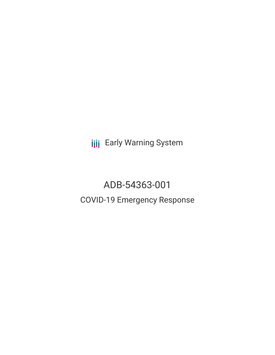**III** Early Warning System

# ADB-54363-001 COVID-19 Emergency Response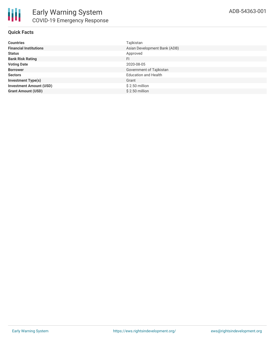

# **Quick Facts**

| <b>Countries</b>               | Tajikistan                   |
|--------------------------------|------------------------------|
| <b>Financial Institutions</b>  | Asian Development Bank (ADB) |
| <b>Status</b>                  | Approved                     |
| <b>Bank Risk Rating</b>        | FI                           |
| <b>Voting Date</b>             | 2020-08-05                   |
| <b>Borrower</b>                | Government of Tajikistan     |
| <b>Sectors</b>                 | <b>Education and Health</b>  |
| <b>Investment Type(s)</b>      | Grant                        |
| <b>Investment Amount (USD)</b> | $$2.50$ million              |
| <b>Grant Amount (USD)</b>      | \$2.50 million               |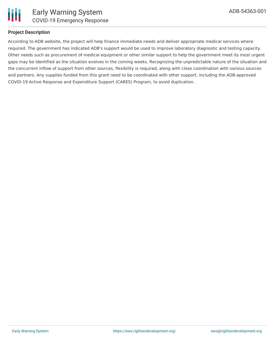

# **Project Description**

According to ADB website, the project will help finance immediate needs and deliver appropriate medical services where required. The government has indicated ADB's support would be used to improve laboratory diagnostic and testing capacity. Other needs such as procurement of medical equipment or other similar support to help the government meet its most urgent gaps may be identified as the situation evolves in the coming weeks. Recognizing the unpredictable nature of the situation and the concurrent inflow of support from other sources, flexibility is required, along with close coordination with various sources and partners. Any supplies funded from this grant need to be coordinated with other support, including the ADB-approved COVID-19 Active Response and Expenditure Support (CARES) Program, to avoid duplication.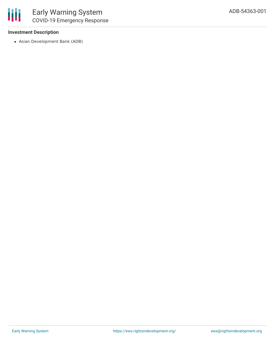# **Investment Description**

Asian Development Bank (ADB)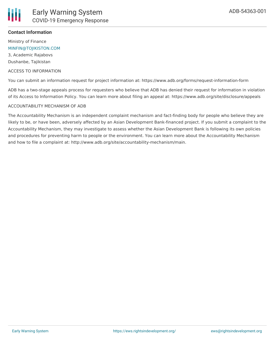

## **Contact Information**

Ministry of Finance [MINFIN@TOJIKISTON.COM](mailto:MINFIN@TOJIKISTON.COM)

3, Academic Rajabovs Dushanbe, Tajikistan

ACCESS TO INFORMATION

You can submit an information request for project information at: https://www.adb.org/forms/request-information-form

ADB has a two-stage appeals process for requesters who believe that ADB has denied their request for information in violation of its Access to Information Policy. You can learn more about filing an appeal at: https://www.adb.org/site/disclosure/appeals

#### ACCOUNTABILITY MECHANISM OF ADB

The Accountability Mechanism is an independent complaint mechanism and fact-finding body for people who believe they are likely to be, or have been, adversely affected by an Asian Development Bank-financed project. If you submit a complaint to the Accountability Mechanism, they may investigate to assess whether the Asian Development Bank is following its own policies and procedures for preventing harm to people or the environment. You can learn more about the Accountability Mechanism and how to file a complaint at: http://www.adb.org/site/accountability-mechanism/main.